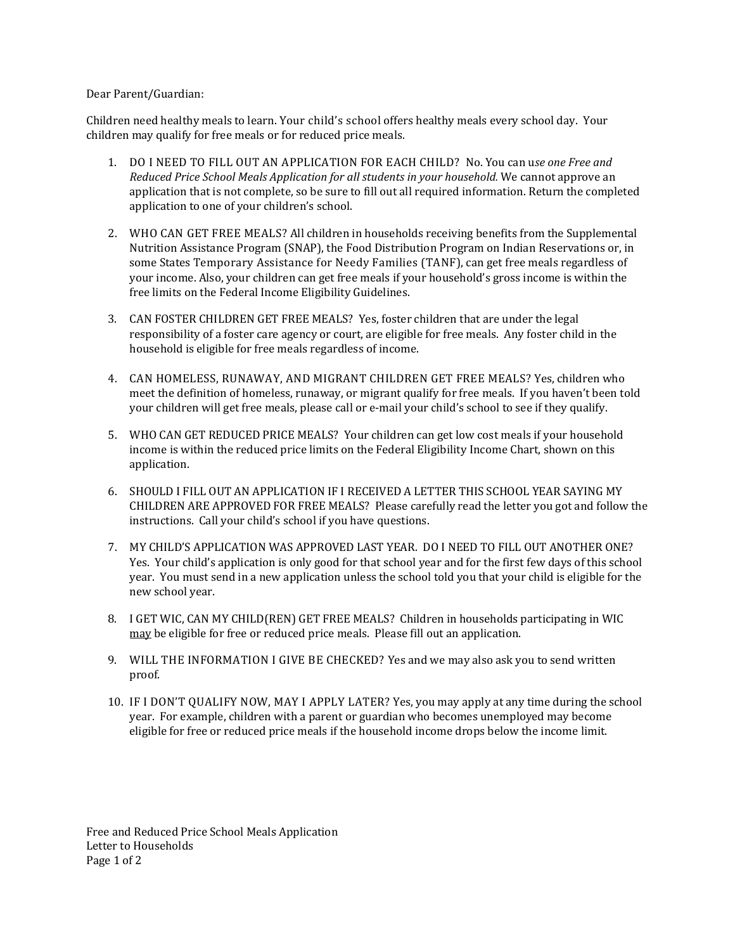### Dear Parent/Guardian:

Children need healthy meals to learn. Your child's school offers healthy meals every school day. Your children may qualify for free meals or for reduced price meals.

- 1. DO I NEED TO FILL OUT AN APPLICATION FOR EACH CHILD? No. You can u*se one Free and Reduced Price School Meals Application for all students in your household.* We cannot approve an application that is not complete, so be sure to fill out all required information. Return the completed application to one of your children's school.
- 2. WHO CAN GET FREE MEALS? All children in households receiving benefits from the Supplemental Nutrition Assistance Program (SNAP), the Food Distribution Program on Indian Reservations or, in some States Temporary Assistance for Needy Families (TANF), can get free meals regardless of your income. Also, your children can get free meals if your household's gross income is within the free limits on the Federal Income Eligibility Guidelines.
- 3. CAN FOSTER CHILDREN GET FREE MEALS? Yes, foster children that are under the legal responsibility of a foster care agency or court, are eligible for free meals. Any foster child in the household is eligible for free meals regardless of income.
- 4. CAN HOMELESS, RUNAWAY, AND MIGRANT CHILDREN GET FREE MEALS? Yes, children who meet the definition of homeless, runaway, or migrant qualify for free meals. If you haven't been told your children will get free meals, please call or e-mail your child's school to see if they qualify.
- 5. WHO CAN GET REDUCED PRICE MEALS? Your children can get low cost meals if your household income is within the reduced price limits on the Federal Eligibility Income Chart, shown on this application.
- 6. SHOULD I FILL OUT AN APPLICATION IF I RECEIVED A LETTER THIS SCHOOL YEAR SAYING MY CHILDREN ARE APPROVED FOR FREE MEALS? Please carefully read the letter you got and follow the instructions. Call your child's school if you have questions.
- 7. MY CHILD'S APPLICATION WAS APPROVED LAST YEAR. DO I NEED TO FILL OUT ANOTHER ONE? Yes. Your child's application is only good for that school year and for the first few days of this school year. You must send in a new application unless the school told you that your child is eligible for the new school year.
- 8. I GET WIC, CAN MY CHILD(REN) GET FREE MEALS? Children in households participating in WIC may be eligible for free or reduced price meals. Please fill out an application.
- 9. WILL THE INFORMATION I GIVE BE CHECKED? Yes and we may also ask you to send written proof.
- 10. IF I DON'T QUALIFY NOW, MAY I APPLY LATER? Yes, you may apply at any time during the school year. For example, children with a parent or guardian who becomes unemployed may become eligible for free or reduced price meals if the household income drops below the income limit.

Free and Reduced Price School Meals Application Letter to Households Page 1 of 2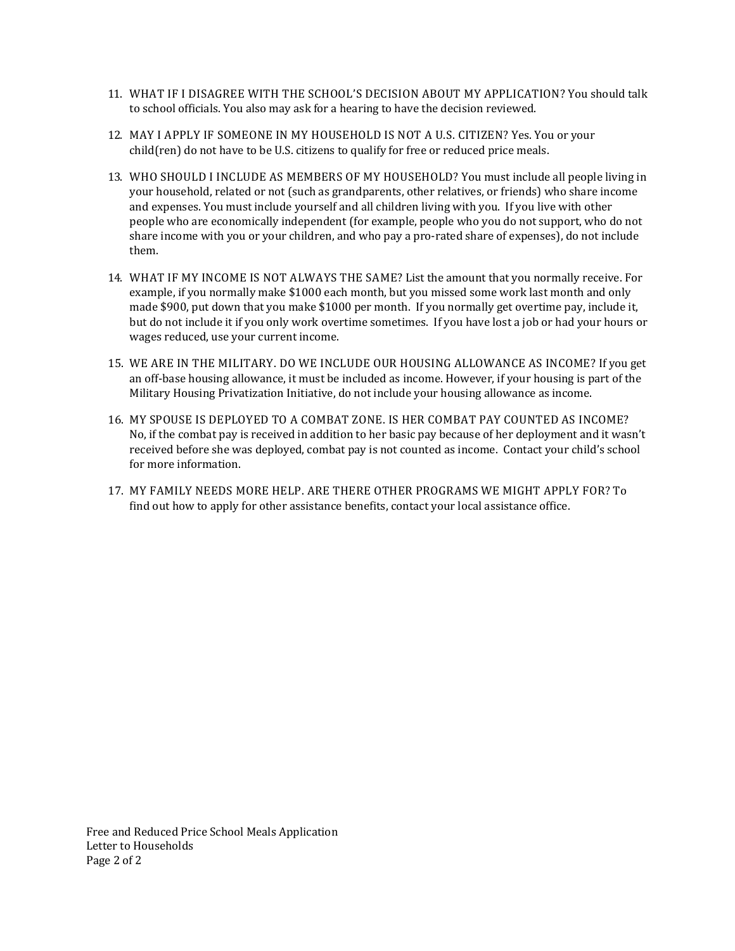- 11. WHAT IF I DISAGREE WITH THE SCHOOL'S DECISION ABOUT MY APPLICATION? You should talk to school officials. You also may ask for a hearing to have the decision reviewed.
- 12. MAY I APPLY IF SOMEONE IN MY HOUSEHOLD IS NOT A U.S. CITIZEN? Yes. You or your child(ren) do not have to be U.S. citizens to qualify for free or reduced price meals.
- 13. WHO SHOULD I INCLUDE AS MEMBERS OF MY HOUSEHOLD? You must include all people living in your household, related or not (such as grandparents, other relatives, or friends) who share income and expenses. You must include yourself and all children living with you. If you live with other people who are economically independent (for example, people who you do not support, who do not share income with you or your children, and who pay a pro‐rated share of expenses), do not include them.
- 14. WHAT IF MY INCOME IS NOT ALWAYS THE SAME? List the amount that you normally receive. For example, if you normally make \$1000 each month, but you missed some work last month and only made \$900, put down that you make \$1000 per month. If you normally get overtime pay, include it, but do not include it if you only work overtime sometimes. If you have lost a job or had your hours or wages reduced, use your current income.
- 15. WE ARE IN THE MILITARY. DO WE INCLUDE OUR HOUSING ALLOWANCE AS INCOME? If you get an off‐base housing allowance, it must be included as income. However, if your housing is part of the Military Housing Privatization Initiative, do not include your housing allowance as income.
- 16. MY SPOUSE IS DEPLOYED TO A COMBAT ZONE. IS HER COMBAT PAY COUNTED AS INCOME? No, if the combat pay is received in addition to her basic pay because of her deployment and it wasn't received before she was deployed, combat pay is not counted as income. Contact your child's school for more information.
- 17. MY FAMILY NEEDS MORE HELP. ARE THERE OTHER PROGRAMS WE MIGHT APPLY FOR? To find out how to apply for other assistance benefits, contact your local assistance office.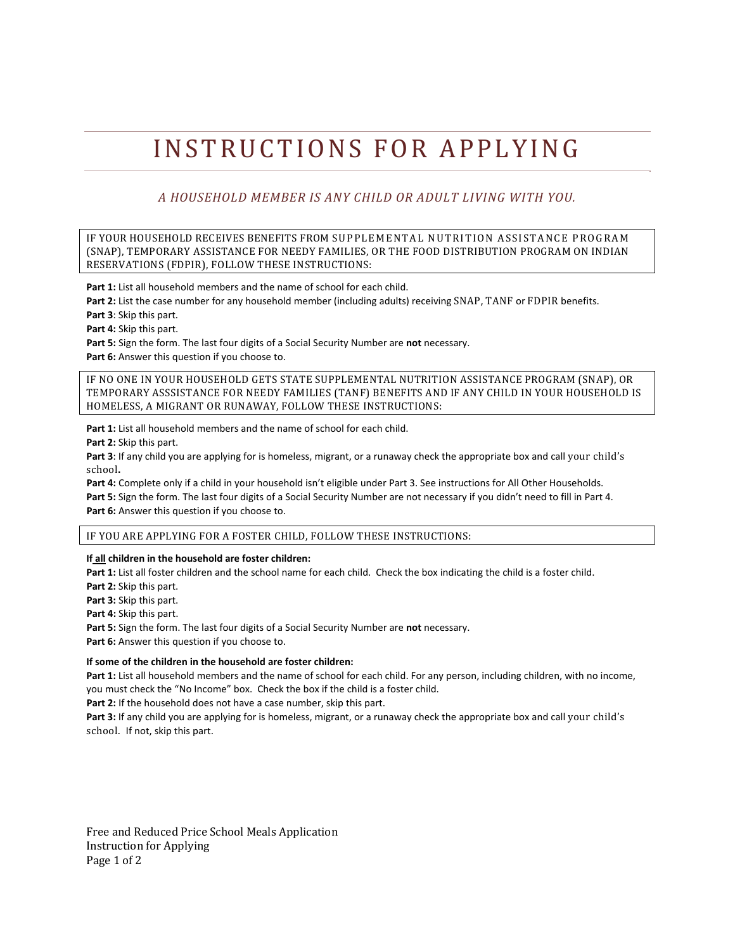# INSTRUCTIONS FOR APPLYING

# *A HOUSEHOLD MEMBER IS ANY CHILD OR ADULT LIVING WITH YOU.*

IF YOUR HOUSEHOLD RECEIVES BENEFITS FROM SUPPLEMENTAL NUTRITION ASSISTANCE PROGRAM (SNAP), TEMPORARY ASSISTANCE FOR NEEDY FAMILIES, OR THE FOOD DISTRIBUTION PROGRAM ON INDIAN RESERVATIONS (FDPIR), FOLLOW THESE INSTRUCTIONS:

**Part 1:** List all household members and the name of school for each child.

**Part 2:** List the case number for any household member (including adults) receiving SNAP, TANF or FDPIR benefits.

**Part 3**: Skip this part.

**Part 4:** Skip this part.

**Part 5:** Sign the form. The last four digits of a Social Security Number are **not** necessary.

**Part 6:** Answer this question if you choose to.

IF NO ONE IN YOUR HOUSEHOLD GETS STATE SUPPLEMENTAL NUTRITION ASSISTANCE PROGRAM (SNAP), OR TEMPORARY ASSSISTANCE FOR NEEDY FAMILIES (TANF) BENEFITS AND IF ANY CHILD IN YOUR HOUSEHOLD IS HOMELESS, A MIGRANT OR RUNAWAY, FOLLOW THESE INSTRUCTIONS:

**Part 1:** List all household members and the name of school for each child.

**Part 2:** Skip this part.

**Part 3**: If any child you are applying for is homeless, migrant, or a runaway check the appropriate box and call your child's school**.** 

**Part 4:** Complete only if a child in your household isn't eligible under Part 3. See instructions for All Other Households. **Part 5:** Sign the form. The last four digits of a Social Security Number are not necessary if you didn't need to fill in Part 4. **Part 6:** Answer this question if you choose to.

IF YOU ARE APPLYING FOR A FOSTER CHILD, FOLLOW THESE INSTRUCTIONS:

**If all children in the household are foster children:** 

**Part 1:** List all foster children and the school name for each child. Check the box indicating the child is a foster child. **Part 2:** Skip this part.

**Part 3:** Skip this part.

**Part 4:** Skip this part.

**Part 5:** Sign the form. The last four digits of a Social Security Number are **not** necessary. **Part 6:** Answer this question if you choose to.

#### **If some of the children in the household are foster children:**

**Part 1:** List all household members and the name of school for each child. For any person, including children, with no income, you must check the "No Income" box. Check the box if the child is a foster child.

**Part 2:** If the household does not have a case number, skip this part.

**Part 3:** If any child you are applying for is homeless, migrant, or a runaway check the appropriate box and call your child's school. If not, skip this part.

Free and Reduced Price School Meals Application Instruction for Applying Page 1 of 2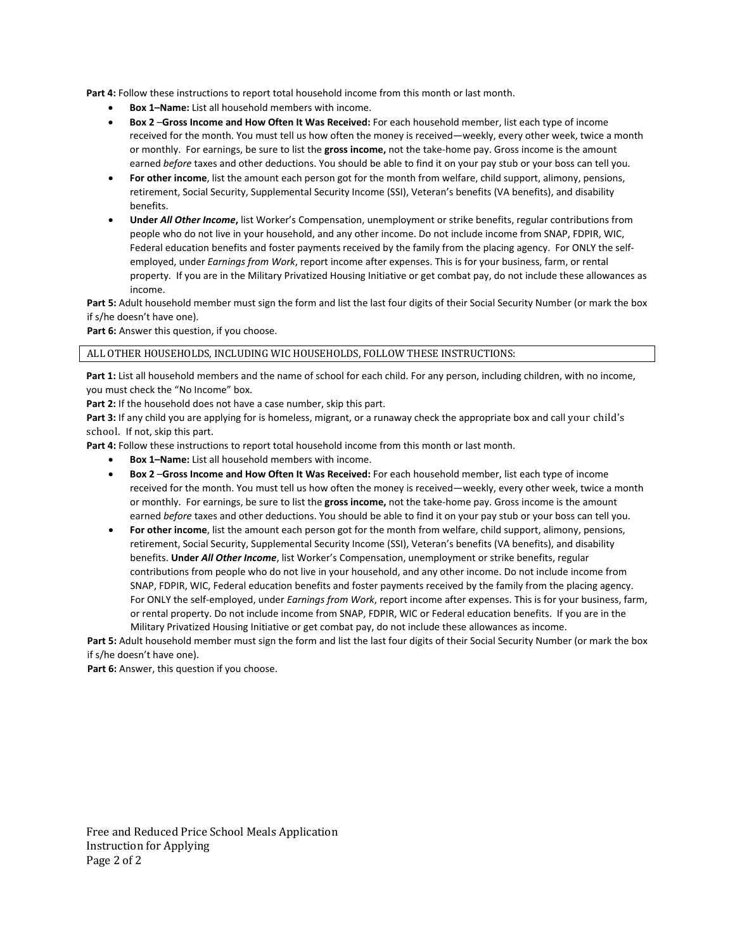**Part 4:** Follow these instructions to report total household income from this month or last month.

- **Box 1–Name:** List all household members with income.
- **Box 2** –**Gross Income and How Often It Was Received:** For each household member, list each type of income received for the month. You must tell us how often the money is received—weekly, every other week, twice a month or monthly. For earnings, be sure to list the **gross income,** not the take‐home pay. Gross income is the amount earned *before* taxes and other deductions. You should be able to find it on your pay stub or your boss can tell you.
- **For other income**, list the amount each person got for the month from welfare, child support, alimony, pensions, retirement, Social Security, Supplemental Security Income (SSI), Veteran's benefits (VA benefits), and disability benefits.
- **Under** *All Other Income***,** list Worker's Compensation, unemployment or strike benefits, regular contributions from people who do not live in your household, and any other income. Do not include income from SNAP, FDPIR, WIC, Federal education benefits and foster payments received by the family from the placing agency. For ONLY the selfemployed, under *Earnings from Work*, report income after expenses. This is for your business, farm, or rental property. If you are in the Military Privatized Housing Initiative or get combat pay, do not include these allowances as income.

**Part 5:** Adult household member must sign the form and list the last four digits of their Social Security Number (or mark the box if s/he doesn't have one).

**Part 6:** Answer this question, if you choose.

#### ALL OTHER HOUSEHOLDS, INCLUDING WIC HOUSEHOLDS, FOLLOW THESE INSTRUCTIONS:

**Part 1:** List all household members and the name of school for each child. For any person, including children, with no income, you must check the "No Income" box.

Part 2: If the household does not have a case number, skip this part.

**Part 3:** If any child you are applying for is homeless, migrant, or a runaway check the appropriate box and call your child's school. If not, skip this part.

**Part 4:** Follow these instructions to report total household income from this month or last month.

- **Box 1–Name:** List all household members with income.
- **Box 2** –**Gross Income and How Often It Was Received:** For each household member, list each type of income received for the month. You must tell us how often the money is received—weekly, every other week, twice a month or monthly. For earnings, be sure to list the **gross income,** not the take‐home pay. Gross income is the amount earned *before* taxes and other deductions. You should be able to find it on your pay stub or your boss can tell you.
- **For other income**, list the amount each person got for the month from welfare, child support, alimony, pensions, retirement, Social Security, Supplemental Security Income (SSI), Veteran's benefits (VA benefits), and disability benefits. **Under** *All Other Income*, list Worker's Compensation, unemployment or strike benefits, regular contributions from people who do not live in your household, and any other income. Do not include income from SNAP, FDPIR, WIC, Federal education benefits and foster payments received by the family from the placing agency. For ONLY the self‐employed, under *Earnings from Work*, report income after expenses. This is for your business, farm, or rental property. Do not include income from SNAP, FDPIR, WIC or Federal education benefits. If you are in the Military Privatized Housing Initiative or get combat pay, do not include these allowances as income.

**Part 5:** Adult household member must sign the form and list the last four digits of their Social Security Number (or mark the box if s/he doesn't have one).

**Part 6:** Answer, this question if you choose.

Free and Reduced Price School Meals Application Instruction for Applying Page 2 of 2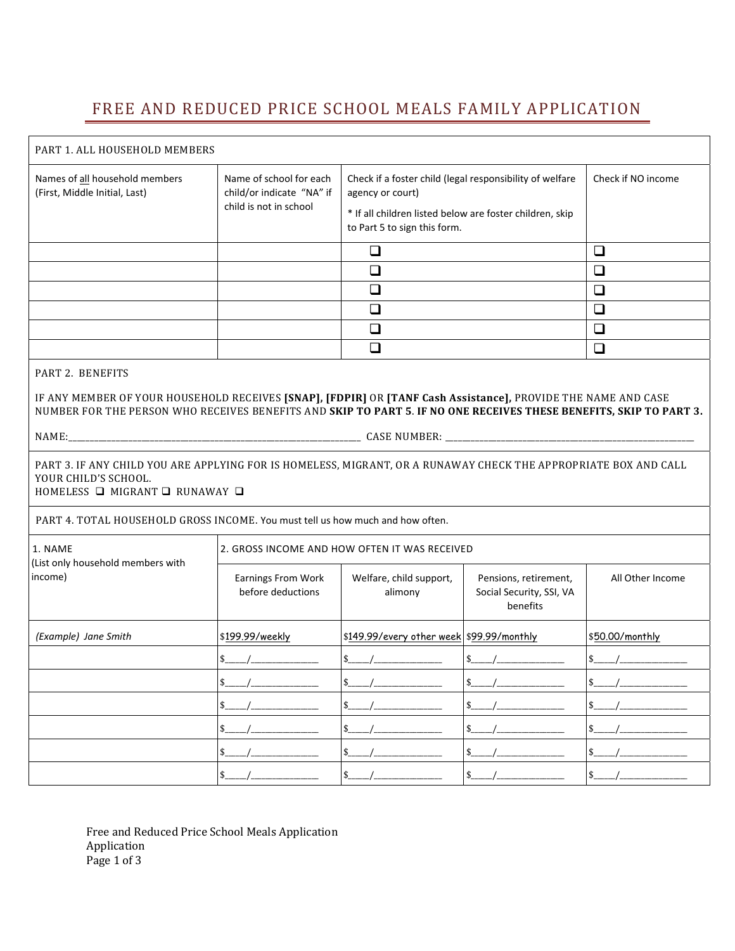# FREE AND REDUCED PRICE SCHOOL MEALS FAMILY APPLICATION

| PART 1. ALL HOUSEHOLD MEMBERS                                                                                                                                                                                                       |                                                                                |                                                                                          |                                                               |                  |  |
|-------------------------------------------------------------------------------------------------------------------------------------------------------------------------------------------------------------------------------------|--------------------------------------------------------------------------------|------------------------------------------------------------------------------------------|---------------------------------------------------------------|------------------|--|
| Names of all household members<br>(First, Middle Initial, Last)                                                                                                                                                                     | Name of school for each<br>child/or indicate "NA" if<br>child is not in school | Check if a foster child (legal responsibility of welfare<br>agency or court)             | Check if NO income                                            |                  |  |
|                                                                                                                                                                                                                                     |                                                                                | * If all children listed below are foster children, skip<br>to Part 5 to sign this form. |                                                               |                  |  |
|                                                                                                                                                                                                                                     |                                                                                | $\Box$                                                                                   |                                                               | $\Box$           |  |
|                                                                                                                                                                                                                                     |                                                                                | $\Box$                                                                                   |                                                               | $\Box$           |  |
|                                                                                                                                                                                                                                     |                                                                                | ❏                                                                                        |                                                               | $\Box$           |  |
|                                                                                                                                                                                                                                     |                                                                                | $\Box$                                                                                   |                                                               | $\Box$           |  |
|                                                                                                                                                                                                                                     |                                                                                | $\Box$                                                                                   |                                                               | $\Box$           |  |
|                                                                                                                                                                                                                                     |                                                                                | $\Box$                                                                                   |                                                               | $\Box$           |  |
| PART 2. BENEFITS                                                                                                                                                                                                                    |                                                                                |                                                                                          |                                                               |                  |  |
| IF ANY MEMBER OF YOUR HOUSEHOLD RECEIVES [SNAP], [FDPIR] OR [TANF Cash Assistance], PROVIDE THE NAME AND CASE<br>NUMBER FOR THE PERSON WHO RECEIVES BENEFITS AND SKIP TO PART 5. IF NO ONE RECEIVES THESE BENEFITS, SKIP TO PART 3. |                                                                                |                                                                                          |                                                               |                  |  |
|                                                                                                                                                                                                                                     |                                                                                |                                                                                          |                                                               |                  |  |
| PART 3. IF ANY CHILD YOU ARE APPLYING FOR IS HOMELESS, MIGRANT, OR A RUNAWAY CHECK THE APPROPRIATE BOX AND CALL<br>YOUR CHILD'S SCHOOL.<br>HOMELESS □ MIGRANT □ RUNAWAY □                                                           |                                                                                |                                                                                          |                                                               |                  |  |
| PART 4. TOTAL HOUSEHOLD GROSS INCOME. You must tell us how much and how often.                                                                                                                                                      |                                                                                |                                                                                          |                                                               |                  |  |
| 1. NAME<br>(List only household members with<br>income)                                                                                                                                                                             | 2. GROSS INCOME AND HOW OFTEN IT WAS RECEIVED                                  |                                                                                          |                                                               |                  |  |
|                                                                                                                                                                                                                                     | <b>Earnings From Work</b><br>before deductions                                 | Welfare, child support,<br>alimony                                                       | Pensions, retirement,<br>Social Security, SSI, VA<br>benefits | All Other Income |  |
| (Example) Jane Smith                                                                                                                                                                                                                | \$199.99/weekly                                                                | \$149.99/every other week \$99.99/monthly                                                |                                                               | \$50.00/monthly  |  |
|                                                                                                                                                                                                                                     |                                                                                | $\frac{1}{2}$                                                                            |                                                               |                  |  |
|                                                                                                                                                                                                                                     |                                                                                |                                                                                          | $\frac{1}{2}$                                                 | $\frac{1}{2}$    |  |
|                                                                                                                                                                                                                                     |                                                                                | $s_{-}$                                                                                  |                                                               |                  |  |
|                                                                                                                                                                                                                                     |                                                                                | $s$ <sub>___</sub>                                                                       |                                                               |                  |  |
|                                                                                                                                                                                                                                     |                                                                                | $$$ <sub>___</sub> /__                                                                   |                                                               |                  |  |
|                                                                                                                                                                                                                                     |                                                                                | $$$                                                                                      |                                                               | $$$              |  |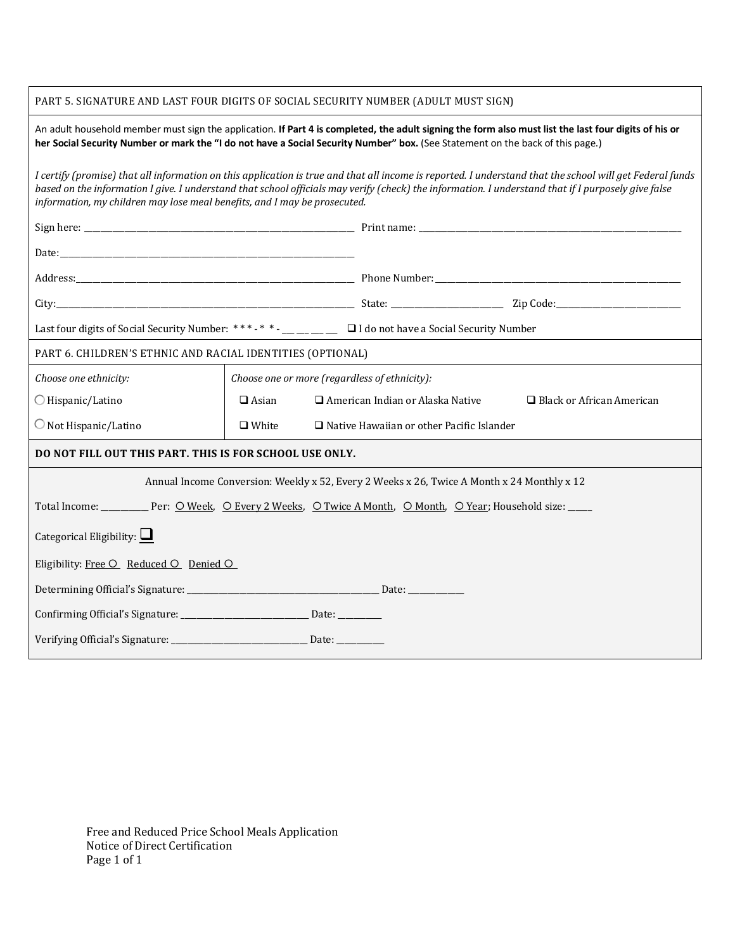# PART 5. SIGNATURE AND LAST FOUR DIGITS OF SOCIAL SECURITY NUMBER (ADULT MUST SIGN)

| An adult household member must sign the application. If Part 4 is completed, the adult signing the form also must list the last four digits of his or<br>her Social Security Number or mark the "I do not have a Social Security Number" box. (See Statement on the back of this page.)                                                                                                       |                                                                  |  |                                         |                                  |  |
|-----------------------------------------------------------------------------------------------------------------------------------------------------------------------------------------------------------------------------------------------------------------------------------------------------------------------------------------------------------------------------------------------|------------------------------------------------------------------|--|-----------------------------------------|----------------------------------|--|
| I certify (promise) that all information on this application is true and that all income is reported. I understand that the school will get Federal funds<br>based on the information I give. I understand that school officials may verify (check) the information. I understand that if I purposely give false<br>information, my children may lose meal benefits, and I may be prosecuted. |                                                                  |  |                                         |                                  |  |
|                                                                                                                                                                                                                                                                                                                                                                                               |                                                                  |  |                                         |                                  |  |
|                                                                                                                                                                                                                                                                                                                                                                                               |                                                                  |  |                                         |                                  |  |
|                                                                                                                                                                                                                                                                                                                                                                                               |                                                                  |  |                                         |                                  |  |
|                                                                                                                                                                                                                                                                                                                                                                                               |                                                                  |  |                                         |                                  |  |
|                                                                                                                                                                                                                                                                                                                                                                                               |                                                                  |  |                                         |                                  |  |
| PART 6. CHILDREN'S ETHNIC AND RACIAL IDENTITIES (OPTIONAL)                                                                                                                                                                                                                                                                                                                                    |                                                                  |  |                                         |                                  |  |
| Choose one ethnicity:                                                                                                                                                                                                                                                                                                                                                                         | Choose one or more (regardless of ethnicity):                    |  |                                         |                                  |  |
| ○ Hispanic/Latino                                                                                                                                                                                                                                                                                                                                                                             | $\Box$ Asian                                                     |  | $\Box$ American Indian or Alaska Native | $\Box$ Black or African American |  |
| $\bigcirc$ Not Hispanic/Latino                                                                                                                                                                                                                                                                                                                                                                | $\Box$ White<br>$\Box$ Native Hawaiian or other Pacific Islander |  |                                         |                                  |  |
| DO NOT FILL OUT THIS PART. THIS IS FOR SCHOOL USE ONLY.                                                                                                                                                                                                                                                                                                                                       |                                                                  |  |                                         |                                  |  |
| Annual Income Conversion: Weekly x 52, Every 2 Weeks x 26, Twice A Month x 24 Monthly x 12                                                                                                                                                                                                                                                                                                    |                                                                  |  |                                         |                                  |  |
|                                                                                                                                                                                                                                                                                                                                                                                               |                                                                  |  |                                         |                                  |  |
| Categorical Eligibility: $\Box$                                                                                                                                                                                                                                                                                                                                                               |                                                                  |  |                                         |                                  |  |
| Eligibility: Free O Reduced O Denied O                                                                                                                                                                                                                                                                                                                                                        |                                                                  |  |                                         |                                  |  |
|                                                                                                                                                                                                                                                                                                                                                                                               |                                                                  |  |                                         |                                  |  |
|                                                                                                                                                                                                                                                                                                                                                                                               |                                                                  |  |                                         |                                  |  |
|                                                                                                                                                                                                                                                                                                                                                                                               |                                                                  |  |                                         |                                  |  |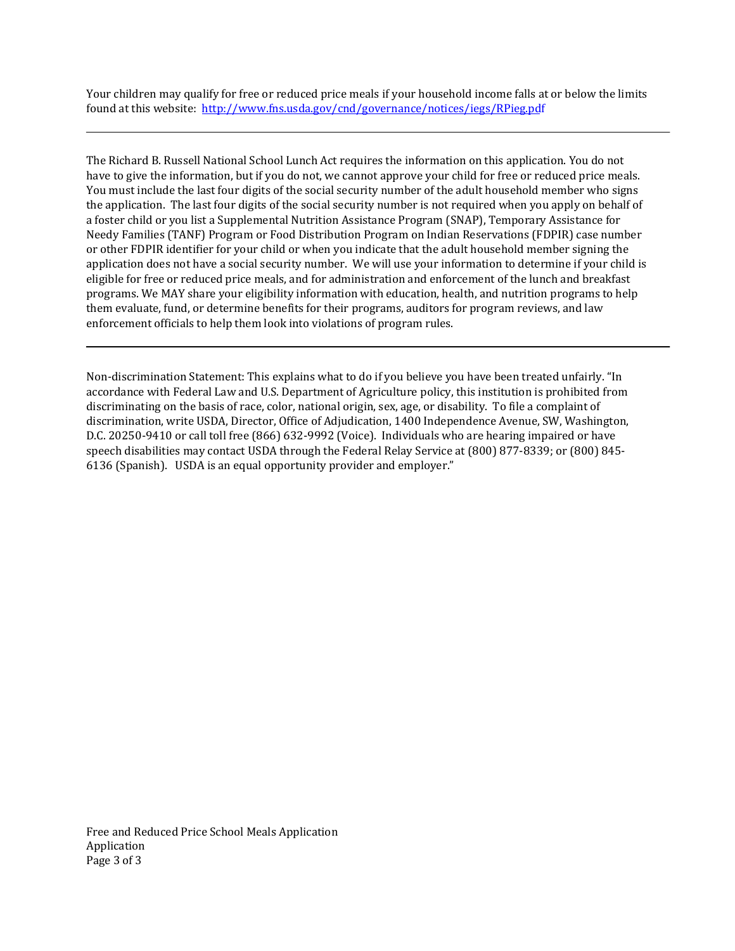Your children may qualify for free or reduced price meals if your household income falls at or below the limits found at this websit[e: http://www.fns.usda.gov/cnd/governance/notices/iegs/](http://www.fns.usda.gov/cnd/governance/notices/iegs/RPieg.pdf)RPieg.pdf

The Richard B. Russell National School Lunch Act requires the information on this application. You do not have to give the information, but if you do not, we cannot approve your child for free or reduced price meals. You must include the last four digits of the social security number of the adult household member who signs the application. The last four digits of the social security number is not required when you apply on behalf of a foster child or you list a Supplemental Nutrition Assistance Program (SNAP), Temporary Assistance for Needy Families (TANF) Program or Food Distribution Program on Indian Reservations (FDPIR) case number or other FDPIR identifier for your child or when you indicate that the adult household member signing the application does not have a social security number. We will use your information to determine if your child is eligible for free or reduced price meals, and for administration and enforcement of the lunch and breakfast programs. We MAY share your eligibility information with education, health, and nutrition programs to help them evaluate, fund, or determine benefits for their programs, auditors for program reviews, and law enforcement officials to help them look into violations of program rules.

Non‐discrimination Statement: This explains what to do if you believe you have been treated unfairly. "In accordance with Federal Law and U.S. Department of Agriculture policy, this institution is prohibited from discriminating on the basis of race, color, national origin, sex, age, or disability. To file a complaint of discrimination, write USDA, Director, Office of Adjudication, 1400 Independence Avenue, SW, Washington, D.C. 20250‐9410 or call toll free (866) 632‐9992 (Voice). Individuals who are hearing impaired or have speech disabilities may contact USDA through the Federal Relay Service at (800) 877-8339; or (800) 845-6136 (Spanish). USDA is an equal opportunity provider and employer."

Free and Reduced Price School Meals Application Application Page 3 of 3